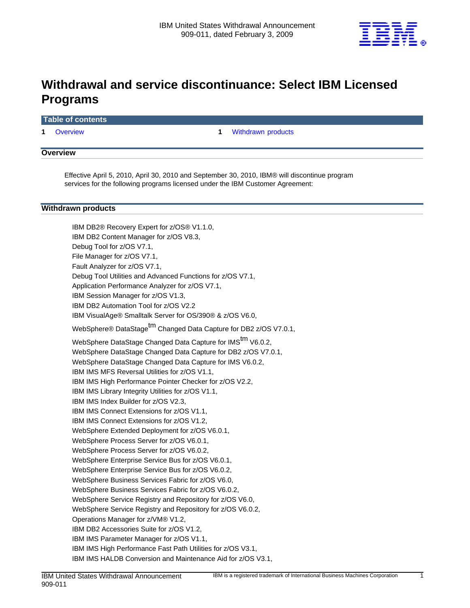

# **Withdrawal and service discontinuance: Select IBM Licensed Programs**

## **Table of contents**

**1** [Overview](#page-0-0) **1** [Withdrawn products](#page-0-1) 

## <span id="page-0-0"></span>**Overview**

Effective April 5, 2010, April 30, 2010 and September 30, 2010, IBM® will discontinue program services for the following programs licensed under the IBM Customer Agreement:

## <span id="page-0-1"></span>**Withdrawn products**

IBM DB2® Recovery Expert for z/OS® V1.1.0, IBM DB2 Content Manager for z/OS V8.3, Debug Tool for z/OS V7.1, File Manager for z/OS V7.1, Fault Analyzer for z/OS V7.1, Debug Tool Utilities and Advanced Functions for z/OS V7.1, Application Performance Analyzer for z/OS V7.1, IBM Session Manager for z/OS V1.3, IBM DB2 Automation Tool for z/OS V2.2 IBM VisualAge® Smalltalk Server for OS/390® & z/OS V6.0, WebSphere® DataStage<sup>tm</sup> Changed Data Capture for DB2 z/OS V7.0.1, WebSphere DataStage Changed Data Capture for IMS<sup>tm</sup> V6.0.2, WebSphere DataStage Changed Data Capture for DB2 z/OS V7.0.1, WebSphere DataStage Changed Data Capture for IMS V6.0.2, IBM IMS MFS Reversal Utilities for z/OS V1.1, IBM IMS High Performance Pointer Checker for z/OS V2.2, IBM IMS Library Integrity Utilities for z/OS V1.1, IBM IMS Index Builder for z/OS V2.3, IBM IMS Connect Extensions for z/OS V1.1, IBM IMS Connect Extensions for z/OS V1.2, WebSphere Extended Deployment for z/OS V6.0.1, WebSphere Process Server for z/OS V6.0.1, WebSphere Process Server for z/OS V6.0.2, WebSphere Enterprise Service Bus for z/OS V6.0.1, WebSphere Enterprise Service Bus for z/OS V6.0.2, WebSphere Business Services Fabric for z/OS V6.0, WebSphere Business Services Fabric for z/OS V6.0.2, WebSphere Service Registry and Repository for z/OS V6.0, WebSphere Service Registry and Repository for z/OS V6.0.2, Operations Manager for z/VM® V1.2, IBM DB2 Accessories Suite for z/OS V1.2, IBM IMS Parameter Manager for z/OS V1.1, IBM IMS High Performance Fast Path Utilities for z/OS V3.1,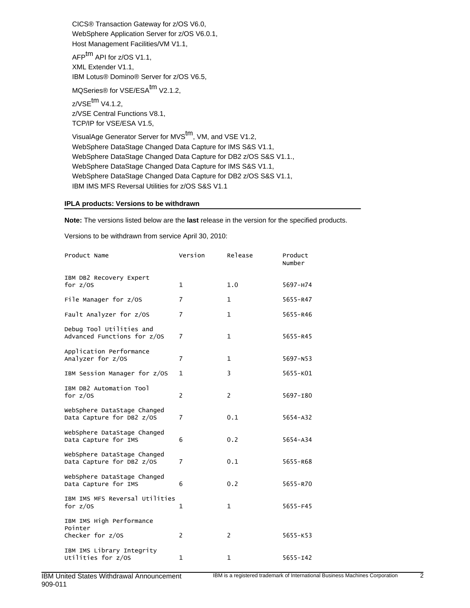CICS® Transaction Gateway for z/OS V6.0, WebSphere Application Server for z/OS V6.0.1, Host Management Facilities/VM V1.1,

AFP<sup>tm</sup> API for z/OS V1.1, XML Extender V1.1, IBM Lotus® Domino® Server for z/OS V6.5,

MQSeries® for VSE/ESA<sup>tm</sup> V2.1.2,

 $z$ /VSE $^{tm}$  V4.1.2. z/VSE Central Functions V8.1, TCP/IP for VSE/ESA V1.5,

VisualAge Generator Server for MVS<sup>tm</sup>, VM, and VSE V1.2, WebSphere DataStage Changed Data Capture for IMS S&S V1.1, WebSphere DataStage Changed Data Capture for DB2 z/OS S&S V1.1., WebSphere DataStage Changed Data Capture for IMS S&S V1.1, WebSphere DataStage Changed Data Capture for DB2 z/OS S&S V1.1, IBM IMS MFS Reversal Utilities for z/OS S&S V1.1

## **IPLA products: Versions to be withdrawn**

**Note:** The versions listed below are the **last** release in the version for the specified products.

Versions to be withdrawn from service April 30, 2010:

| Product Name                                             | Version        | Release        | Product<br>Number |
|----------------------------------------------------------|----------------|----------------|-------------------|
| IBM DB2 Recovery Expert<br>for $z/0S$                    | $\mathbf{1}$   | 1.0            | 5697-H74          |
| File Manager for z/OS                                    | $\overline{7}$ | $\mathbf{1}$   | 5655-R47          |
| Fault Analyzer for z/OS                                  | $\overline{7}$ | $\mathbf{1}$   | $5655 - R46$      |
| Debug Tool Utilities and<br>Advanced Functions for z/OS  | $\overline{7}$ | $\mathbf{1}$   | $5655 - R45$      |
| Application Performance<br>Analyzer for z/OS             | $\overline{7}$ | $\mathbf{1}$   | $5697 - N53$      |
| IBM Session Manager for z/OS                             | $\mathbf{1}$   | 3              | 5655-K01          |
| IBM DB2 Automation Tool<br>for $z/$ 0S                   | $\overline{2}$ | $\overline{2}$ | 5697-180          |
| WebSphere DataStage Changed<br>Data Capture for DB2 z/OS | $\overline{7}$ | 0.1            | $5654 - A32$      |
| WebSphere DataStage Changed<br>Data Capture for IMS      | 6              | 0.2            | 5654-A34          |
| WebSphere DataStage Changed<br>Data Capture for DB2 z/OS | $\overline{7}$ | 0.1            | 5655-R68          |
| WebSphere DataStage Changed<br>Data Capture for IMS      | 6              | 0.2            | 5655-R70          |
| IBM IMS MFS Reversal Utilities<br>for $z/0S$             | $\mathbf{1}$   | $\mathbf{1}$   | $5655 - F45$      |
| IBM IMS High Performance<br>Pointer<br>Checker for z/0S  | $\overline{2}$ | $\overline{2}$ | 5655-K53          |
| IBM IMS Library Integrity<br>Utilities for z/OS          | $\mathbf{1}$   | $\mathbf{1}$   | $5655 - 142$      |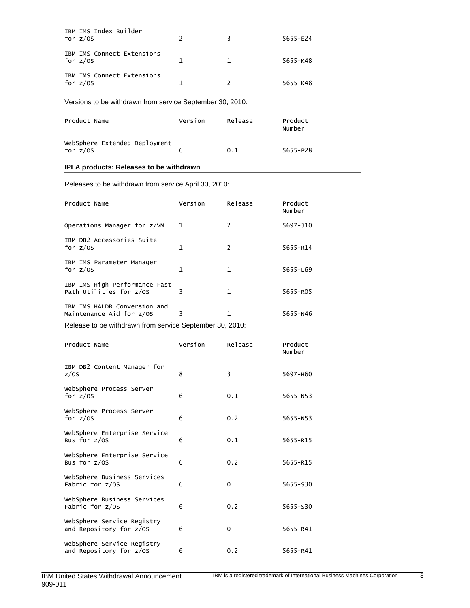| IBM IMS Index Builder<br>for $z/0S$      |   | 3             | $5655 - E24$ |
|------------------------------------------|---|---------------|--------------|
| IBM IMS Connect Extensions<br>for $z/0S$ | 1 | 1             | $5655 - K48$ |
| IBM IMS Connect Extensions<br>for $z/0S$ | 1 | $\mathcal{P}$ | $5655 - K48$ |

Versions to be withdrawn from service September 30, 2010:

| Product Name                                | Version | Release | Product<br>Number |
|---------------------------------------------|---------|---------|-------------------|
| WebSphere Extended Deployment<br>for $z/0S$ |         | 0.1     | $5655 - P28$      |

# **IPLA products: Releases to be withdrawn**

Releases to be withdrawn from service April 30, 2010:

| Product Name                                             | Version      | Release        | Product<br>Number |
|----------------------------------------------------------|--------------|----------------|-------------------|
| Operations Manager for z/VM                              | $\mathbf{1}$ | 2              | 5697-J10          |
| IBM DB2 Accessories Suite<br>for $z/$ <sub>OS</sub>      | 1            | $\overline{2}$ | 5655-R14          |
| IBM IMS Parameter Manager<br>for $z/$ <sub>OS</sub>      | 1            | 1              | $5655 - L69$      |
| IBM IMS High Performance Fast<br>Path Utilities for z/OS | 3            | 1              | 5655-R05          |
| IBM IMS HALDB Conversion and<br>Maintenance Aid for z/OS | 3            | 1              | $5655 - N46$      |
| Release to be withdrawn from service September 30, 2010: |              |                |                   |
| Product Name                                             | Version      | Release        | Product<br>Number |
| IBM DB2 Content Manager for<br>z/0S                      | 8            | 3              | 5697-H60          |
| WebSphere Process Server<br>for $z/0S$                   | 6            | 0.1            | 5655-N53          |
| WebSphere Process Server<br>for $z/$ <sub>OS</sub>       | 6            | 0.2            | $5655 - N53$      |
| WebSphere Enterprise Service<br>Bus for z/OS             | 6            | 0.1            | $5655 - R15$      |
| WebSphere Enterprise Service<br>Bus for z/OS             | 6            | 0.2            | 5655-R15          |
| WebSphere Business Services<br>Fabric for z/OS           | 6            | 0              | 5655-S30          |
| WebSphere Business Services<br>Fabric for z/OS           | 6            | 0.2            | 5655-S30          |
| WebSphere Service Registry<br>and Repository for z/OS    | 6            | $\mathbf 0$    | 5655-R41          |
| WebSphere Service Registry<br>and Repository for z/OS    | 6            | 0.2            | 5655-R41          |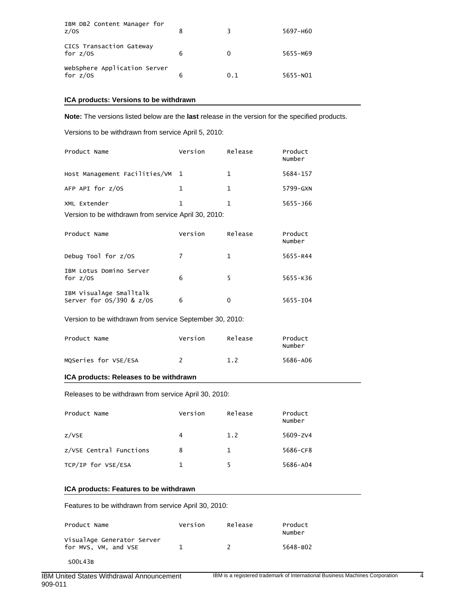| IBM DB2 Content Manager for<br>z/0S        |   |     | 5697-H60 |
|--------------------------------------------|---|-----|----------|
| CICS Transaction Gateway<br>for $z/0S$     | 6 |     | 5655-M69 |
| WebSphere Application Server<br>for $z/0S$ | 6 | 0.1 | 5655-N01 |

## **ICA products: Versions to be withdrawn**

**Note:** The versions listed below are the **last** release in the version for the specified products.

Versions to be withdrawn from service April 5, 2010:

| Product Name                                             | Version        | Release      | Product<br>Number |  |
|----------------------------------------------------------|----------------|--------------|-------------------|--|
| Host Management Facilities/VM                            | 1              | $\mathbf{1}$ | 5684-157          |  |
| AFP API for z/OS                                         | $\mathbf{1}$   | $\mathbf{1}$ | 5799-GXN          |  |
| XML Extender                                             | $\mathbf{1}$   | $\mathbf{1}$ | $5655 - 166$      |  |
| Version to be withdrawn from service April 30, 2010:     |                |              |                   |  |
| Product Name                                             | Version        | Release      | Product<br>Number |  |
| Debug Tool for z/OS                                      | $\overline{7}$ | $\mathbf{1}$ | $5655 - R44$      |  |
| IBM Lotus Domino Server<br>for $z/0S$                    | 6              | 5            | $5655 - K36$      |  |
| IBM VisualAge Smalltalk<br>Server for $OS/390$ & $z/OS$  | 6              | $\mathbf{0}$ | $5655 - 104$      |  |
| Version to be withdrawn from service September 30, 2010: |                |              |                   |  |
| Product Name                                             | Version        | Release      | Product<br>Number |  |
| MQSeries for VSE/ESA                                     | $\overline{2}$ | 1.2          | 5686-A06          |  |

## **ICA products: Releases to be withdrawn**

Releases to be withdrawn from service April 30, 2010:

| Product Name            | Version | Release | Product<br>Number |
|-------------------------|---------|---------|-------------------|
| z/VSE                   | 4       | 1.2     | $5609 - ZV4$      |
| z/VSE Central Functions | 8       | 1       | 5686-CF8          |
| TCP/IP for VSE/ESA      |         |         | 5686-A04          |

## **ICA products: Features to be withdrawn**

Features to be withdrawn from service April 30, 2010:

| Product Name                                       | Version | Release | Product<br>Number |
|----------------------------------------------------|---------|---------|-------------------|
| VisualAge Generator Server<br>for MVS, VM, and VSE |         |         | 5648-B02          |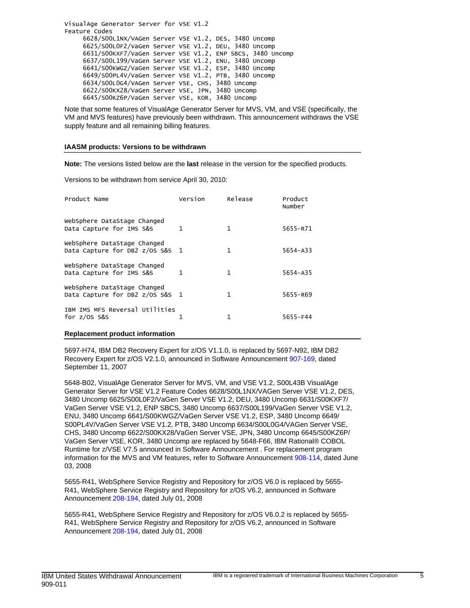VisualAge Generator Server for VSE V1.2 Feature Codes 6628/S00L1NX/VAGen Server VSE V1.2, DES, 3480 Uncomp 6625/S00L0F2/VaGen Server VSE V1.2, DEU, 3480 Uncomp 6631/S00KXF7/VaGen Server VSE V1.2, ENP SBCS, 3480 Uncomp 6637/S00L199/VaGen Server VSE V1.2, ENU, 3480 Uncomp 6641/S00KWGZ/VaGen Server VSE V1.2, ESP, 3480 Uncomp 6649/S00PL4V/VaGen Server VSE V1.2, PTB, 3480 Uncomp 6634/S00L0G4/VAGen Server VSE, CHS, 3480 Uncomp 6622/S00KX28/VaGen Server VSE, JPN, 3480 Uncomp 6645/S00KZ6P/VaGen Server VSE, KOR, 3480 Uncomp

Note that some features of VisualAge Generator Server for MVS, VM, and VSE (specifically, the VM and MVS features) have previously been withdrawn. This announcement withdraws the VSE supply feature and all remaining billing features.

#### **IAASM products: Versions to be withdrawn**

**Note:** The versions listed below are the **last** release in the version for the specified products.

Versions to be withdrawn from service April 30, 2010:

| Product Name                                                   | Version      | Release      | Product<br>Number |
|----------------------------------------------------------------|--------------|--------------|-------------------|
| WebSphere DataStage Changed<br>Data Capture for IMS S&S        | 1            | $\mathbf{1}$ | 5655-R71          |
| WebSphere DataStage Changed<br>Data Capture for DB2 z/OS S&S 1 |              | 1            | $5654 - A33$      |
| WebSphere DataStage Changed<br>Data Capture for IMS S&S        | $\mathbf{1}$ | 1            | $5654 - A35$      |
| WebSphere DataStage Changed<br>Data Capture for DB2 z/OS S&S 1 |              | 1            | 5655-R69          |
| IBM IMS MFS Reversal Utilities<br>for $z/0S$ S&S               |              | 1            | 5655-F44          |

#### **Replacement product information**

5697-H74, IBM DB2 Recovery Expert for z/OS V1.1.0, is replaced by 5697-N92, IBM DB2 Recovery Expert for z/OS V2.1.0, announced in Software Announcement [907-169](http://www.ibm.com/common/ssi/cgi-bin/ssialias?infotype=an&subtype=ca&appname=gpateam&supplier=897&letternum=ENUS907-169), dated September 11, 2007

5648-B02, VisualAge Generator Server for MVS, VM, and VSE V1.2, S00L43B VisualAge Generator Server for VSE V1.2 Feature Codes 6628/S00L1NX/VAGen Server VSE V1.2, DES, 3480 Uncomp 6625/S00L0F2/VaGen Server VSE V1.2, DEU, 3480 Uncomp 6631/S00KXF7/ VaGen Server VSE V1.2, ENP SBCS, 3480 Uncomp 6637/S00L199/VaGen Server VSE V1.2, ENU, 3480 Uncomp 6641/S00KWGZ/VaGen Server VSE V1.2, ESP, 3480 Uncomp 6649/ S00PL4V/VaGen Server VSE V1.2, PTB, 3480 Uncomp 6634/S00L0G4/VAGen Server VSE, CHS, 3480 Uncomp 6622/S00KX28/VaGen Server VSE, JPN, 3480 Uncomp 6645/S00KZ6P/ VaGen Server VSE, KOR, 3480 Uncomp are replaced by 5648-F66, IBM Rational® COBOL Runtime for z/VSE V7.5 announced in Software Announcement . For replacement program information for the MVS and VM features, refer to Software Announcement [908-114](http://www.ibm.com/common/ssi/cgi-bin/ssialias?infotype=an&subtype=ca&appname=gpateam&supplier=897&letternum=ENUS908-114), dated June 03, 2008

5655-R41, WebSphere Service Registry and Repository for z/OS V6.0 is replaced by 5655- R41, WebSphere Service Registry and Repository for z/OS V6.2, announced in Software Announcement [208-194](http://www.ibm.com/common/ssi/cgi-bin/ssialias?infotype=an&subtype=ca&appname=gpateam&supplier=897&letternum=ENUS208-194), dated July 01, 2008

5655-R41, WebSphere Service Registry and Repository for z/OS V6.0.2 is replaced by 5655- R41, WebSphere Service Registry and Repository for z/OS V6.2, announced in Software Announcement [208-194](http://www.ibm.com/common/ssi/cgi-bin/ssialias?infotype=an&subtype=ca&appname=gpateam&supplier=897&letternum=ENUS208-194), dated July 01, 2008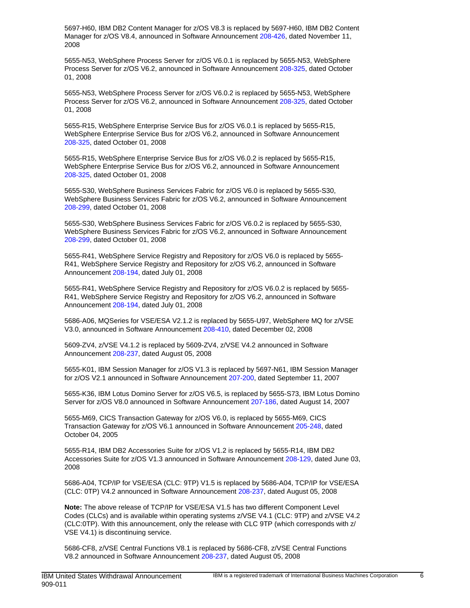5697-H60, IBM DB2 Content Manager for z/OS V8.3 is replaced by 5697-H60, IBM DB2 Content Manager for z/OS V8.4, announced in Software Announcement [208-426,](http://www.ibm.com/common/ssi/cgi-bin/ssialias?infotype=an&subtype=ca&appname=gpateam&supplier=897&letternum=ENUS208-426) dated November 11, 2008

5655-N53, WebSphere Process Server for z/OS V6.0.1 is replaced by 5655-N53, WebSphere Process Server for z/OS V6.2, announced in Software Announcement [208-325,](http://www.ibm.com/common/ssi/cgi-bin/ssialias?infotype=an&subtype=ca&appname=gpateam&supplier=897&letternum=ENUS208-325) dated October 01, 2008

5655-N53, WebSphere Process Server for z/OS V6.0.2 is replaced by 5655-N53, WebSphere Process Server for z/OS V6.2, announced in Software Announcement [208-325,](http://www.ibm.com/common/ssi/cgi-bin/ssialias?infotype=an&subtype=ca&appname=gpateam&supplier=897&letternum=ENUS208-325) dated October 01, 2008

5655-R15, WebSphere Enterprise Service Bus for z/OS V6.0.1 is replaced by 5655-R15, WebSphere Enterprise Service Bus for z/OS V6.2, announced in Software Announcement [208-325](http://www.ibm.com/common/ssi/cgi-bin/ssialias?infotype=an&subtype=ca&appname=gpateam&supplier=897&letternum=ENUS208-325), dated October 01, 2008

5655-R15, WebSphere Enterprise Service Bus for z/OS V6.0.2 is replaced by 5655-R15, WebSphere Enterprise Service Bus for z/OS V6.2, announced in Software Announcement [208-325](http://www.ibm.com/common/ssi/cgi-bin/ssialias?infotype=an&subtype=ca&appname=gpateam&supplier=897&letternum=ENUS208-325), dated October 01, 2008

5655-S30, WebSphere Business Services Fabric for z/OS V6.0 is replaced by 5655-S30, WebSphere Business Services Fabric for z/OS V6.2, announced in Software Announcement [208-299](http://www.ibm.com/common/ssi/cgi-bin/ssialias?infotype=an&subtype=ca&appname=gpateam&supplier=897&letternum=ENUS208-299), dated October 01, 2008

5655-S30, WebSphere Business Services Fabric for z/OS V6.0.2 is replaced by 5655-S30, WebSphere Business Services Fabric for z/OS V6.2, announced in Software Announcement [208-299](http://www.ibm.com/common/ssi/cgi-bin/ssialias?infotype=an&subtype=ca&appname=gpateam&supplier=897&letternum=ENUS208-299), dated October 01, 2008

5655-R41, WebSphere Service Registry and Repository for z/OS V6.0 is replaced by 5655- R41, WebSphere Service Registry and Repository for z/OS V6.2, announced in Software Announcement [208-194](http://www.ibm.com/common/ssi/cgi-bin/ssialias?infotype=an&subtype=ca&appname=gpateam&supplier=897&letternum=ENUS208-194), dated July 01, 2008

5655-R41, WebSphere Service Registry and Repository for z/OS V6.0.2 is replaced by 5655- R41, WebSphere Service Registry and Repository for z/OS V6.2, announced in Software Announcement [208-194](http://www.ibm.com/common/ssi/cgi-bin/ssialias?infotype=an&subtype=ca&appname=gpateam&supplier=897&letternum=ENUS208-194), dated July 01, 2008

5686-A06, MQSeries for VSE/ESA V2.1.2 is replaced by 5655-U97, WebSphere MQ for z/VSE V3.0, announced in Software Announcement [208-410](http://www.ibm.com/common/ssi/cgi-bin/ssialias?infotype=an&subtype=ca&appname=gpateam&supplier=897&letternum=ENUS208-410), dated December 02, 2008

5609-ZV4, z/VSE V4.1.2 is replaced by 5609-ZV4, z/VSE V4.2 announced in Software Announcement [208-237](http://www.ibm.com/common/ssi/cgi-bin/ssialias?infotype=an&subtype=ca&appname=gpateam&supplier=897&letternum=ENUS208-237), dated August 05, 2008

5655-K01, IBM Session Manager for z/OS V1.3 is replaced by 5697-N61, IBM Session Manager for z/OS V2.1 announced in Software Announcement [207-200](http://www.ibm.com/common/ssi/cgi-bin/ssialias?infotype=an&subtype=ca&appname=gpateam&supplier=897&letternum=ENUS207-200), dated September 11, 2007

5655-K36, IBM Lotus Domino Server for z/OS V6.5, is replaced by 5655-S73, IBM Lotus Domino Server for z/OS V8.0 announced in Software Announcement [207-186](http://www.ibm.com/common/ssi/cgi-bin/ssialias?infotype=an&subtype=ca&appname=gpateam&supplier=897&letternum=ENUS207-186), dated August 14, 2007

5655-M69, CICS Transaction Gateway for z/OS V6.0, is replaced by 5655-M69, CICS Transaction Gateway for z/OS V6.1 announced in Software Announcement [205-248,](http://www.ibm.com/common/ssi/cgi-bin/ssialias?infotype=an&subtype=ca&appname=gpateam&supplier=897&letternum=ENUS205-248) dated October 04, 2005

5655-R14, IBM DB2 Accessories Suite for z/OS V1.2 is replaced by 5655-R14, IBM DB2 Accessories Suite for z/OS V1.3 announced in Software Announcement [208-129](http://www.ibm.com/common/ssi/cgi-bin/ssialias?infotype=an&subtype=ca&appname=gpateam&supplier=897&letternum=ENUS208-129), dated June 03, 2008

5686-A04, TCP/IP for VSE/ESA (CLC: 9TP) V1.5 is replaced by 5686-A04, TCP/IP for VSE/ESA (CLC: 0TP) V4.2 announced in Software Announcement [208-237,](http://www.ibm.com/common/ssi/cgi-bin/ssialias?infotype=an&subtype=ca&appname=gpateam&supplier=897&letternum=ENUS208-237) dated August 05, 2008

**Note:** The above release of TCP/IP for VSE/ESA V1.5 has two different Component Level Codes (CLCs) and is available within operating systems z/VSE V4.1 (CLC: 9TP) and z/VSE V4.2 (CLC:0TP). With this announcement, only the release with CLC 9TP (which corresponds with z/ VSE V4.1) is discontinuing service.

5686-CF8, z/VSE Central Functions V8.1 is replaced by 5686-CF8, z/VSE Central Functions V8.2 announced in Software Announcement [208-237,](http://www.ibm.com/common/ssi/cgi-bin/ssialias?infotype=an&subtype=ca&appname=gpateam&supplier=897&letternum=ENUS208-237) dated August 05, 2008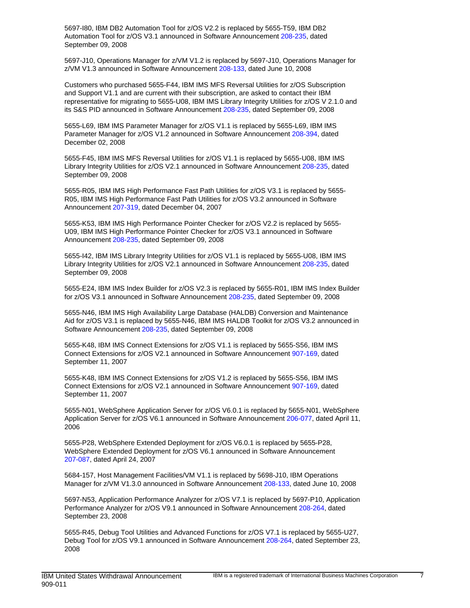5697-I80, IBM DB2 Automation Tool for z/OS V2.2 is replaced by 5655-T59, IBM DB2 Automation Tool for z/OS V3.1 announced in Software Announcement [208-235](http://www.ibm.com/common/ssi/cgi-bin/ssialias?infotype=an&subtype=ca&appname=gpateam&supplier=897&letternum=ENUS208-235), dated September 09, 2008

5697-J10, Operations Manager for z/VM V1.2 is replaced by 5697-J10, Operations Manager for z/VM V1.3 announced in Software Announcement [208-133,](http://www.ibm.com/common/ssi/cgi-bin/ssialias?infotype=an&subtype=ca&appname=gpateam&supplier=897&letternum=ENUS208-133) dated June 10, 2008

Customers who purchased 5655-F44, IBM IMS MFS Reversal Utilities for z/OS Subscription and Support V1.1 and are current with their subscription, are asked to contact their IBM representative for migrating to 5655-U08, IBM IMS Library Integrity Utilities for z/OS V 2.1.0 and its S&S PID announced in Software Announcement [208-235](http://www.ibm.com/common/ssi/cgi-bin/ssialias?infotype=an&subtype=ca&appname=gpateam&supplier=897&letternum=ENUS208-235), dated September 09, 2008

5655-L69, IBM IMS Parameter Manager for z/OS V1.1 is replaced by 5655-L69, IBM IMS Parameter Manager for z/OS V1.2 announced in Software Announcement [208-394,](http://www.ibm.com/common/ssi/cgi-bin/ssialias?infotype=an&subtype=ca&appname=gpateam&supplier=897&letternum=ENUS208-394) dated December 02, 2008

5655-F45, IBM IMS MFS Reversal Utilities for z/OS V1.1 is replaced by 5655-U08, IBM IMS Library Integrity Utilities for z/OS V2.1 announced in Software Announcement [208-235](http://www.ibm.com/common/ssi/cgi-bin/ssialias?infotype=an&subtype=ca&appname=gpateam&supplier=897&letternum=ENUS208-235), dated September 09, 2008

5655-R05, IBM IMS High Performance Fast Path Utilities for z/OS V3.1 is replaced by 5655- R05, IBM IMS High Performance Fast Path Utilities for z/OS V3.2 announced in Software Announcement [207-319](http://www.ibm.com/common/ssi/cgi-bin/ssialias?infotype=an&subtype=ca&appname=gpateam&supplier=897&letternum=ENUS207-319), dated December 04, 2007

5655-K53, IBM IMS High Performance Pointer Checker for z/OS V2.2 is replaced by 5655- U09, IBM IMS High Performance Pointer Checker for z/OS V3.1 announced in Software Announcement [208-235](http://www.ibm.com/common/ssi/cgi-bin/ssialias?infotype=an&subtype=ca&appname=gpateam&supplier=897&letternum=ENUS208-235), dated September 09, 2008

5655-I42, IBM IMS Library Integrity Utilities for z/OS V1.1 is replaced by 5655-U08, IBM IMS Library Integrity Utilities for z/OS V2.1 announced in Software Announcement [208-235](http://www.ibm.com/common/ssi/cgi-bin/ssialias?infotype=an&subtype=ca&appname=gpateam&supplier=897&letternum=ENUS208-235), dated September 09, 2008

5655-E24, IBM IMS Index Builder for z/OS V2.3 is replaced by 5655-R01, IBM IMS Index Builder for z/OS V3.1 announced in Software Announcement [208-235](http://www.ibm.com/common/ssi/cgi-bin/ssialias?infotype=an&subtype=ca&appname=gpateam&supplier=897&letternum=ENUS208-235), dated September 09, 2008

5655-N46, IBM IMS High Availability Large Database (HALDB) Conversion and Maintenance Aid for z/OS V3.1 is replaced by 5655-N46, IBM IMS HALDB Toolkit for z/OS V3.2 announced in Software Announcement [208-235](http://www.ibm.com/common/ssi/cgi-bin/ssialias?infotype=an&subtype=ca&appname=gpateam&supplier=897&letternum=ENUS208-235), dated September 09, 2008

5655-K48, IBM IMS Connect Extensions for z/OS V1.1 is replaced by 5655-S56, IBM IMS Connect Extensions for z/OS V2.1 announced in Software Announcement [907-169,](http://www.ibm.com/common/ssi/cgi-bin/ssialias?infotype=an&subtype=ca&appname=gpateam&supplier=897&letternum=ENUS907-169) dated September 11, 2007

5655-K48, IBM IMS Connect Extensions for z/OS V1.2 is replaced by 5655-S56, IBM IMS Connect Extensions for z/OS V2.1 announced in Software Announcement [907-169,](http://www.ibm.com/common/ssi/cgi-bin/ssialias?infotype=an&subtype=ca&appname=gpateam&supplier=897&letternum=ENUS907-169) dated September 11, 2007

5655-N01, WebSphere Application Server for z/OS V6.0.1 is replaced by 5655-N01, WebSphere Application Server for z/OS V6.1 announced in Software Announcement [206-077,](http://www.ibm.com/common/ssi/cgi-bin/ssialias?infotype=an&subtype=ca&appname=gpateam&supplier=897&letternum=ENUS206-077) dated April 11, 2006

5655-P28, WebSphere Extended Deployment for z/OS V6.0.1 is replaced by 5655-P28, WebSphere Extended Deployment for z/OS V6.1 announced in Software Announcement [207-087](http://www.ibm.com/common/ssi/cgi-bin/ssialias?infotype=an&subtype=ca&appname=gpateam&supplier=897&letternum=ENUS207-087), dated April 24, 2007

5684-157, Host Management Facilities/VM V1.1 is replaced by 5698-J10, IBM Operations Manager for z/VM V1.3.0 announced in Software Announcement [208-133](http://www.ibm.com/common/ssi/cgi-bin/ssialias?infotype=an&subtype=ca&appname=gpateam&supplier=897&letternum=ENUS208-133), dated June 10, 2008

5697-N53, Application Performance Analyzer for z/OS V7.1 is replaced by 5697-P10, Application Performance Analyzer for z/OS V9.1 announced in Software Announcement [208-264,](http://www.ibm.com/common/ssi/cgi-bin/ssialias?infotype=an&subtype=ca&appname=gpateam&supplier=897&letternum=ENUS208-264) dated September 23, 2008

5655-R45, Debug Tool Utilities and Advanced Functions for z/OS V7.1 is replaced by 5655-U27, Debug Tool for z/OS V9.1 announced in Software Announcement [208-264](http://www.ibm.com/common/ssi/cgi-bin/ssialias?infotype=an&subtype=ca&appname=gpateam&supplier=897&letternum=ENUS208-264), dated September 23, 2008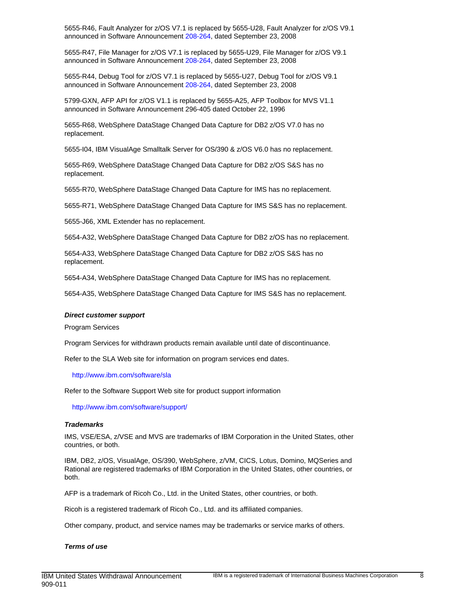5655-R46, Fault Analyzer for z/OS V7.1 is replaced by 5655-U28, Fault Analyzer for z/OS V9.1 announced in Software Announcement [208-264,](http://www.ibm.com/common/ssi/cgi-bin/ssialias?infotype=an&subtype=ca&appname=gpateam&supplier=897&letternum=ENUS208-264) dated September 23, 2008

5655-R47, File Manager for z/OS V7.1 is replaced by 5655-U29, File Manager for z/OS V9.1 announced in Software Announcement [208-264,](http://www.ibm.com/common/ssi/cgi-bin/ssialias?infotype=an&subtype=ca&appname=gpateam&supplier=897&letternum=ENUS208-264) dated September 23, 2008

5655-R44, Debug Tool for z/OS V7.1 is replaced by 5655-U27, Debug Tool for z/OS V9.1 announced in Software Announcement [208-264,](http://www.ibm.com/common/ssi/cgi-bin/ssialias?infotype=an&subtype=ca&appname=gpateam&supplier=897&letternum=ENUS208-264) dated September 23, 2008

5799-GXN, AFP API for z/OS V1.1 is replaced by 5655-A25, AFP Toolbox for MVS V1.1 announced in Software Announcement 296-405 dated October 22, 1996

5655-R68, WebSphere DataStage Changed Data Capture for DB2 z/OS V7.0 has no replacement.

5655-I04, IBM VisualAge Smalltalk Server for OS/390 & z/OS V6.0 has no replacement.

5655-R69, WebSphere DataStage Changed Data Capture for DB2 z/OS S&S has no replacement.

5655-R70, WebSphere DataStage Changed Data Capture for IMS has no replacement.

5655-R71, WebSphere DataStage Changed Data Capture for IMS S&S has no replacement.

5655-J66, XML Extender has no replacement.

5654-A32, WebSphere DataStage Changed Data Capture for DB2 z/OS has no replacement.

5654-A33, WebSphere DataStage Changed Data Capture for DB2 z/OS S&S has no replacement.

5654-A34, WebSphere DataStage Changed Data Capture for IMS has no replacement.

5654-A35, WebSphere DataStage Changed Data Capture for IMS S&S has no replacement.

#### **Direct customer support**

Program Services

Program Services for withdrawn products remain available until date of discontinuance.

Refer to the SLA Web site for information on program services end dates.

<http://www.ibm.com/software/sla>

Refer to the Software Support Web site for product support information

<http://www.ibm.com/software/support/>

#### **Trademarks**

IMS, VSE/ESA, z/VSE and MVS are trademarks of IBM Corporation in the United States, other countries, or both.

IBM, DB2, z/OS, VisualAge, OS/390, WebSphere, z/VM, CICS, Lotus, Domino, MQSeries and Rational are registered trademarks of IBM Corporation in the United States, other countries, or both.

AFP is a trademark of Ricoh Co., Ltd. in the United States, other countries, or both.

Ricoh is a registered trademark of Ricoh Co., Ltd. and its affiliated companies.

Other company, product, and service names may be trademarks or service marks of others.

#### **Terms of use**